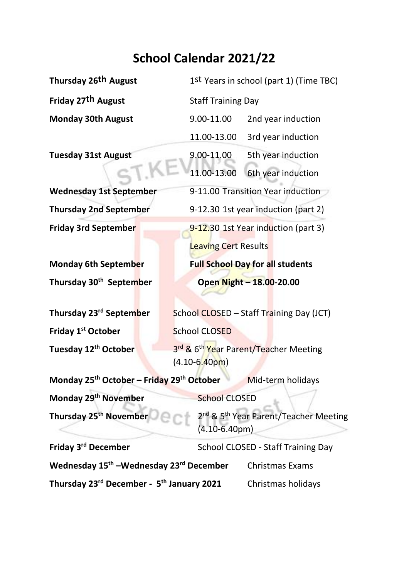## **School Calendar 2021/22**

**Thursday 26th August** 1st Years in school (part 1) (Time TBC)

**Thursday 30th**

**Friday 1<sup>st</sup> October** School CLOSED **Tuesday 12th October** 3

**Friday 27th August** Staff Training Day **Monday 30th August** 9.00-11.00 2nd year induction 11.00-13.00 3rd year induction **Tuesday 31st August** 9.00-11.00 5th year induction 11.00-13.00 6th year induction **Wednesday 1st September** 9-11.00 Transition Year induction **Thursday 2nd September** 9-12.30 1st year induction (part 2) **Friday 3rd September** 9-12.30 1st Year induction (part 3) Leaving Cert Results **Monday 6th September Full School Day for all students September Open Night – 18.00-20.00**

**Thursday 23<sup>rd</sup> September** School CLOSED – Staff Training Day (JCT)

3rd & 6<sup>th</sup> Year Parent/Teacher Meeting (4.10-6.40pm)

**Monday 25th October – Friday 29th October** Mid-term holidays

**Monday 29<sup>th</sup> November** School CLOSED

**Thursday 25<sup>th</sup> November** 

2<sup>nd</sup> & 5<sup>th</sup> Year Parent/Teacher Meeting (4.10-6.40pm)

| Friday 3 <sup>rd</sup> December                                 | School CLOSED - Staff Training Day |                    |
|-----------------------------------------------------------------|------------------------------------|--------------------|
| Wednesday 15 <sup>th</sup> –Wednesday 23 <sup>rd</sup> December |                                    | Christmas Exams    |
| Thursday 23rd December - 5th January 2021                       |                                    | Christmas holidays |